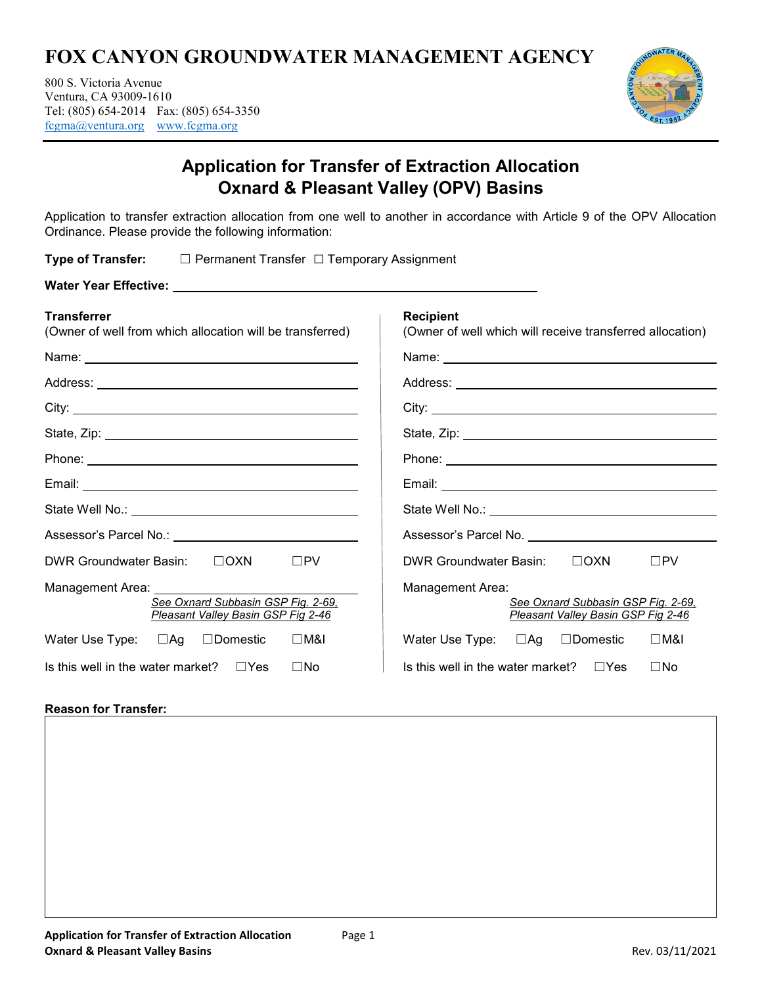# **FOX CANYON GROUNDWATER MANAGEMENT AGENCY**

800 S. Victoria Avenue Ventura, CA 93009-1610 Tel: (805) 654-2014 Fax: (805) 654-3350 fcgma@ventura.org www.fcgma.org



# **Application for Transfer of Extraction Allocation Oxnard & Pleasant Valley (OPV) Basins**

Application to transfer extraction allocation from one well to another in accordance with Article 9 of the OPV Allocation Ordinance. Please provide the following information:

**Type of Transfer:** ☐ Permanent Transfer ☐ Temporary Assignment

| <b>Transferrer</b><br>(Owner of well from which allocation will be transferred)                                                                                                                                                | <b>Recipient</b><br>(Owner of well which will receive transferred allocation)                                                                                                                                                        |
|--------------------------------------------------------------------------------------------------------------------------------------------------------------------------------------------------------------------------------|--------------------------------------------------------------------------------------------------------------------------------------------------------------------------------------------------------------------------------------|
|                                                                                                                                                                                                                                |                                                                                                                                                                                                                                      |
|                                                                                                                                                                                                                                |                                                                                                                                                                                                                                      |
|                                                                                                                                                                                                                                | City:                                                                                                                                                                                                                                |
|                                                                                                                                                                                                                                |                                                                                                                                                                                                                                      |
|                                                                                                                                                                                                                                | Phone: New York Street, New York Street, New York Street, New York Street, New York Street, New York Street, New York Street, New York Street, New York Street, New York Street, New York Street, New York Street, New York St       |
|                                                                                                                                                                                                                                |                                                                                                                                                                                                                                      |
|                                                                                                                                                                                                                                |                                                                                                                                                                                                                                      |
| Assessor's Parcel No.: \\cdot \\cdot \\cdot \\cdot \\cdot \\cdot \\cdot \\cdot \\cdot \\cdot \\cdot \\cdot \\cdot \\cdot \\cdot \\cdot \\cdot \\cdot \\cdot \\cdot \\cdot \\cdot \\cdot \\cdot \\cdot \\cdot \\cdot \\cdot \\c | Assessor's Parcel No. <b>Contract Contract Contract Contract Contract Contract Contract Contract Control Contract Contract Contract Contract Contract Contract Contract Contract Contract Contract Contract Contract Contract Co</b> |
| DWR Groundwater Basin: □ □ OXN<br>$\square$ PV                                                                                                                                                                                 | DWR Groundwater Basin: □ □ OXN<br>$\square$ PV                                                                                                                                                                                       |
| Management Area:<br>See Oxnard Subbasin GSP Fig. 2-69.<br>Pleasant Valley Basin GSP Fig 2-46                                                                                                                                   | Management Area:<br>See Oxnard Subbasin GSP Fig. 2-69.<br>Pleasant Valley Basin GSP Fig 2-46                                                                                                                                         |
| Water Use Type: □Ag □Domestic □M&I                                                                                                                                                                                             | Water Use Type: □Ag □Domestic □M&I                                                                                                                                                                                                   |
| Is this well in the water market? $\square$ Yes<br>$\square$ No                                                                                                                                                                | Is this well in the water market? $\square$ Yes<br>$\square$ No                                                                                                                                                                      |

## **Reason for Transfer:**